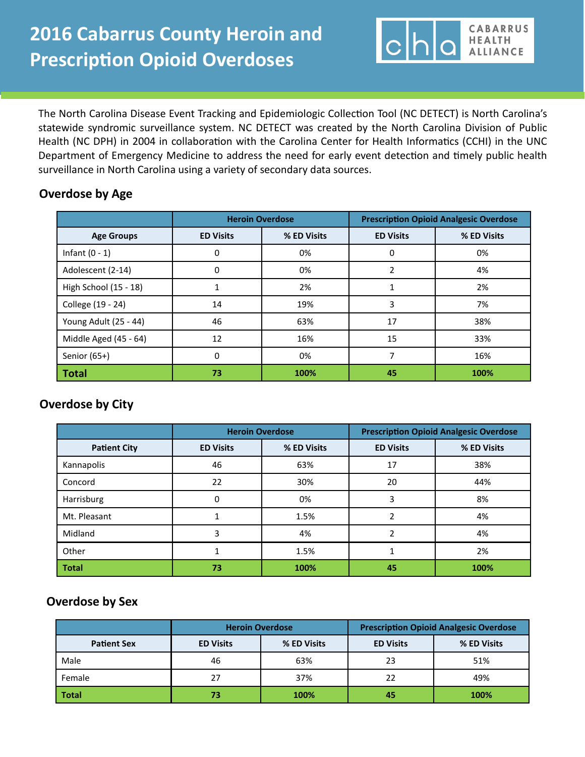The North Carolina Disease Event Tracking and Epidemiologic Collection Tool (NC DETECT) is North Carolina's statewide syndromic surveillance system. NC DETECT was created by the North Carolina Division of Public Health (NC DPH) in 2004 in collaboration with the Carolina Center for Health Informatics (CCHI) in the UNC Department of Emergency Medicine to address the need for early event detection and timely public health surveillance in North Carolina using a variety of secondary data sources.

**CABARRUS** 

**HEALTH ALLIANCE** 

 $\overline{Q}$ 

## **Overdose by Age**

|                       | <b>Heroin Overdose</b> |             | <b>Prescription Opioid Analgesic Overdose</b> |             |
|-----------------------|------------------------|-------------|-----------------------------------------------|-------------|
| <b>Age Groups</b>     | <b>ED Visits</b>       | % ED Visits | <b>ED Visits</b>                              | % ED Visits |
| Infant $(0 - 1)$      | 0                      | 0%          | O                                             | 0%          |
| Adolescent (2-14)     | 0                      | 0%          |                                               | 4%          |
| High School (15 - 18) |                        | 2%          |                                               | 2%          |
| College (19 - 24)     | 14                     | 19%         | 3                                             | 7%          |
| Young Adult (25 - 44) | 46                     | 63%         | 17                                            | 38%         |
| Middle Aged (45 - 64) | 12                     | 16%         | 15                                            | 33%         |
| Senior $(65+)$        | 0                      | 0%          |                                               | 16%         |
| Total                 | 73                     | 100%        | 45                                            | 100%        |

## **Overdose by City**

|                     | <b>Heroin Overdose</b> |             | <b>Prescription Opioid Analgesic Overdose</b> |             |
|---------------------|------------------------|-------------|-----------------------------------------------|-------------|
| <b>Patient City</b> | <b>ED Visits</b>       | % ED Visits | <b>ED Visits</b>                              | % ED Visits |
| Kannapolis          | 46                     | 63%         | 17                                            | 38%         |
| Concord             | 22                     | 30%         | 20                                            | 44%         |
| Harrisburg          | 0                      | 0%          | 3                                             | 8%          |
| Mt. Pleasant        |                        | 1.5%        |                                               | 4%          |
| Midland             |                        | 4%          |                                               | 4%          |
| Other               |                        | 1.5%        |                                               | 2%          |
| <b>Total</b>        | 73                     | 100%        | 45                                            | 100%        |

# **Overdose by Sex**

|                    | <b>Heroin Overdose</b> |             | <b>Prescription Opioid Analgesic Overdose</b> |             |
|--------------------|------------------------|-------------|-----------------------------------------------|-------------|
| <b>Patient Sex</b> | <b>ED Visits</b>       | % ED Visits | <b>ED Visits</b>                              | % ED Visits |
| Male               | 46                     | 63%         | 23                                            | 51%         |
| Female             | 27                     | 37%         | 22                                            | 49%         |
| <b>Total</b>       | 73                     | 100%        | 45                                            | 100%        |